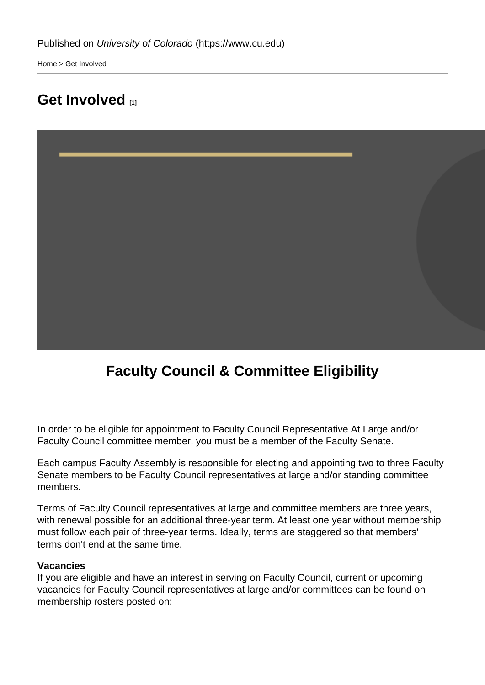[Home](https://www.cu.edu/) > Get Involved

## [Get Involved](https://www.cu.edu/faculty/faculty-council/get-involved) [1]

### Faculty Council & Committee Eligibility

In order to be eligible for appointment to Faculty Council Representative At Large and/or Faculty Council committee member, you must be a member of the Faculty Senate.

Each campus Faculty Assembly is responsible for electing and appointing two to three Faculty Senate members to be Faculty Council representatives at large and/or standing committee members.

Terms of Faculty Council representatives at large and committee members are three years, with renewal possible for an additional three-year term. At least one year without membership must follow each pair of three-year terms. Ideally, terms are staggered so that members' terms don't end at the same time.

#### Vacancies

If you are eligible and have an interest in serving on Faculty Council, current or upcoming vacancies for Faculty Council representatives at large and/or committees can be found on membership rosters posted on: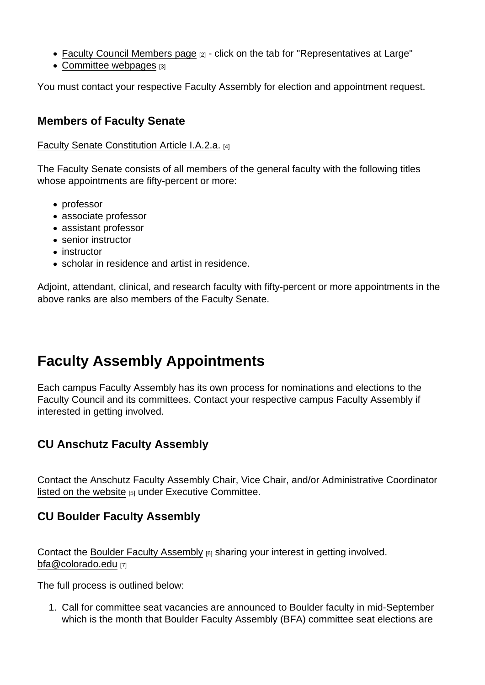- [Faculty Council Members page](https://www.cu.edu/faculty/faculty-council/faculty-council-members) [2] click on the tab for "Representatives at Large"
- [Committee webpages](https://www.cu.edu/faculty/committees-faculty-council/about-committees) [3]

You must contact your respective Faculty Assembly for election and appointment request.

### Members of Faculty Senate

#### [Faculty Senate Constitution Article I.A.2.a.](https://www.cu.edu/faculty/constitution-bylaws/constitution/article-i-definitions-and-principles) [4]

The Faculty Senate consists of all members of the general faculty with the following titles whose appointments are fifty-percent or more:

- professor
- associate professor
- assistant professor
- senior instructor
- instructor
- scholar in residence and artist in residence.

Adjoint, attendant, clinical, and research faculty with fifty-percent or more appointments in the above ranks are also members of the Faculty Senate.

# Faculty Assembly Appointments

Each campus Faculty Assembly has its own process for nominations and elections to the Faculty Council and its committees. Contact your respective campus Faculty Assembly if interested in getting involved.

CU Anschutz Faculty Assembly

Contact the Anschutz Faculty Assembly Chair, Vice Chair, and/or Administrative Coordinator [listed on the website](https://www.ucdenver.edu/faculty-staff/faculty-assembly/anschutz-medical-campus-faculty-assembly#ac-executive-committee-0)  $[5]$  under Executive Committee.

CU Boulder Faculty Assembly

Contact the [Boulder Faculty Assembly](https://www.colorado.edu/bfa/) [6] sharing your interest in getting involved. [bfa@colorado.edu](mailto:bfa@colorado.edu) [7]

The full process is outlined below:

1. Call for committee seat vacancies are announced to Boulder faculty in mid-September which is the month that Boulder Faculty Assembly (BFA) committee seat elections are